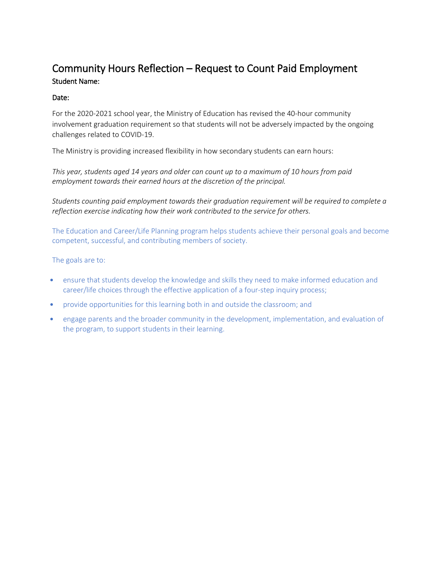## Community Hours Reflection – Request to Count Paid Employment Student Name:

## Date:

For the 2020-2021 school year, the Ministry of Education has revised the 40-hour community involvement graduation requirement so that students will not be adversely impacted by the ongoing challenges related to COVID-19.

The Ministry is providing increased flexibility in how secondary students can earn hours:

*This year, students aged 14 years and older can count up to a maximum of 10 hours from paid employment towards their earned hours at the discretion of the principal.* 

*Students counting paid employment towards their graduation requirement will be required to complete a reflection exercise indicating how their work contributed to the service for others.* 

The Education and Career/Life Planning program helps students achieve their personal goals and become competent, successful, and contributing members of society.

The goals are to:

- ensure that students develop the knowledge and skills they need to make informed education and career/life choices through the effective application of a four-step inquiry process;
- provide opportunities for this learning both in and outside the classroom; and
- engage parents and the broader community in the development, implementation, and evaluation of the program, to support students in their learning.